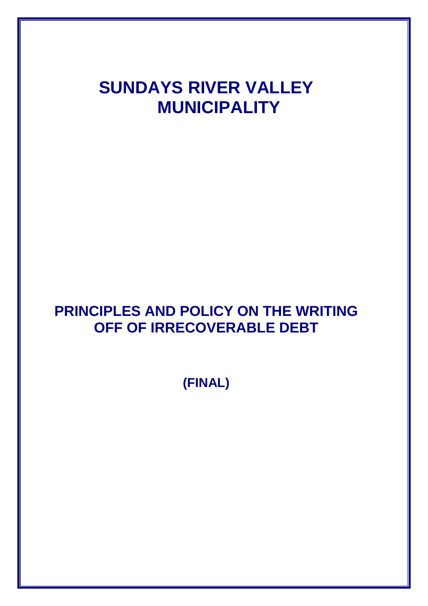# **SUNDAYS RIVER VALLEY MUNICIPALITY**

# **PRINCIPLES AND POLICY ON THE WRITING OFF OF IRRECOVERABLE DEBT**

**(FINAL)**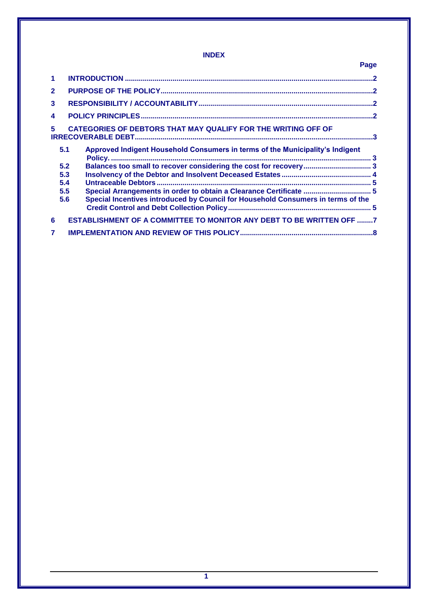# **INDEX**

|              |     | Page                                                                             |  |
|--------------|-----|----------------------------------------------------------------------------------|--|
| 1            |     |                                                                                  |  |
| $\mathbf{2}$ |     |                                                                                  |  |
| 3            |     |                                                                                  |  |
| 4            |     |                                                                                  |  |
| 5.           |     | CATEGORIES OF DEBTORS THAT MAY QUALIFY FOR THE WRITING OFF OF                    |  |
|              | 5.1 | Approved Indigent Household Consumers in terms of the Municipality's Indigent    |  |
|              | 5.2 |                                                                                  |  |
|              | 5.3 |                                                                                  |  |
|              | 5.4 |                                                                                  |  |
|              | 5.5 | Special Arrangements in order to obtain a Clearance Certificate  5               |  |
|              | 5.6 | Special Incentives introduced by Council for Household Consumers in terms of the |  |
| 6            |     | <b>ESTABLISHMENT OF A COMMITTEE TO MONITOR ANY DEBT TO BE WRITTEN OFF 7</b>      |  |
|              |     |                                                                                  |  |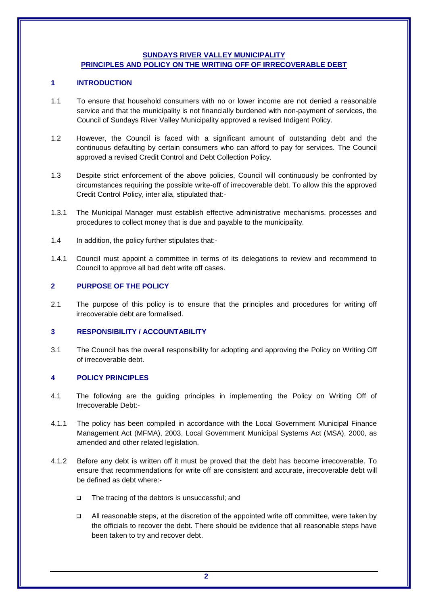#### **SUNDAYS RIVER VALLEY MUNICIPALITY PRINCIPLES AND POLICY ON THE WRITING OFF OF IRRECOVERABLE DEBT**

#### <span id="page-2-0"></span>**1 INTRODUCTION**

- 1.1 To ensure that household consumers with no or lower income are not denied a reasonable service and that the municipality is not financially burdened with non-payment of services, the Council of Sundays River Valley Municipality approved a revised Indigent Policy.
- 1.2 However, the Council is faced with a significant amount of outstanding debt and the continuous defaulting by certain consumers who can afford to pay for services. The Council approved a revised Credit Control and Debt Collection Policy.
- 1.3 Despite strict enforcement of the above policies, Council will continuously be confronted by circumstances requiring the possible write-off of irrecoverable debt. To allow this the approved Credit Control Policy, inter alia, stipulated that:-
- 1.3.1 The Municipal Manager must establish effective administrative mechanisms, processes and procedures to collect money that is due and payable to the municipality.
- 1.4 In addition, the policy further stipulates that:-
- 1.4.1 Council must appoint a committee in terms of its delegations to review and recommend to Council to approve all bad debt write off cases.

# <span id="page-2-1"></span>**2 PURPOSE OF THE POLICY**

2.1 The purpose of this policy is to ensure that the principles and procedures for writing off irrecoverable debt are formalised.

#### <span id="page-2-2"></span>**3 RESPONSIBILITY / ACCOUNTABILITY**

3.1 The Council has the overall responsibility for adopting and approving the Policy on Writing Off of irrecoverable debt.

#### <span id="page-2-3"></span>**4 POLICY PRINCIPLES**

- 4.1 The following are the guiding principles in implementing the Policy on Writing Off of Irrecoverable Debt:-
- 4.1.1 The policy has been compiled in accordance with the Local Government Municipal Finance Management Act (MFMA), 2003, Local Government Municipal Systems Act (MSA), 2000, as amended and other related legislation.
- 4.1.2 Before any debt is written off it must be proved that the debt has become irrecoverable. To ensure that recommendations for write off are consistent and accurate, irrecoverable debt will be defined as debt where:-
	- The tracing of the debtors is unsuccessful; and
	- $\Box$  All reasonable steps, at the discretion of the appointed write off committee, were taken by the officials to recover the debt. There should be evidence that all reasonable steps have been taken to try and recover debt.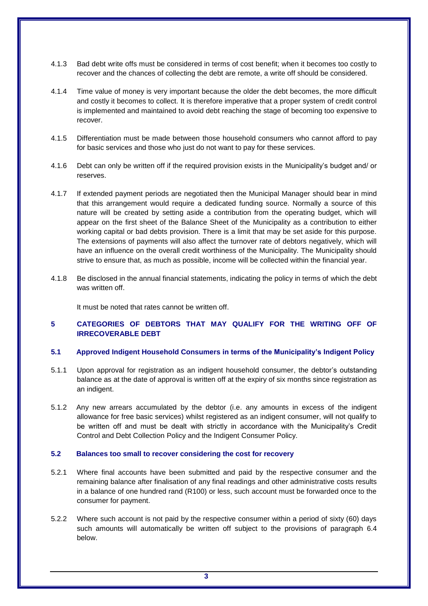- 4.1.3 Bad debt write offs must be considered in terms of cost benefit; when it becomes too costly to recover and the chances of collecting the debt are remote, a write off should be considered.
- 4.1.4 Time value of money is very important because the older the debt becomes, the more difficult and costly it becomes to collect. It is therefore imperative that a proper system of credit control is implemented and maintained to avoid debt reaching the stage of becoming too expensive to recover.
- 4.1.5 Differentiation must be made between those household consumers who cannot afford to pay for basic services and those who just do not want to pay for these services.
- 4.1.6 Debt can only be written off if the required provision exists in the Municipality's budget and/ or reserves.
- 4.1.7 If extended payment periods are negotiated then the Municipal Manager should bear in mind that this arrangement would require a dedicated funding source. Normally a source of this nature will be created by setting aside a contribution from the operating budget, which will appear on the first sheet of the Balance Sheet of the Municipality as a contribution to either working capital or bad debts provision. There is a limit that may be set aside for this purpose. The extensions of payments will also affect the turnover rate of debtors negatively, which will have an influence on the overall credit worthiness of the Municipality. The Municipality should strive to ensure that, as much as possible, income will be collected within the financial year.
- 4.1.8 Be disclosed in the annual financial statements, indicating the policy in terms of which the debt was written off

It must be noted that rates cannot be written off.

# <span id="page-3-0"></span>**5 CATEGORIES OF DEBTORS THAT MAY QUALIFY FOR THE WRITING OFF OF IRRECOVERABLE DEBT**

#### <span id="page-3-1"></span>**5.1 Approved Indigent Household Consumers in terms of the Municipality's Indigent Policy**

- 5.1.1 Upon approval for registration as an indigent household consumer, the debtor's outstanding balance as at the date of approval is written off at the expiry of six months since registration as an indigent.
- 5.1.2 Any new arrears accumulated by the debtor (i.e. any amounts in excess of the indigent allowance for free basic services) whilst registered as an indigent consumer, will not qualify to be written off and must be dealt with strictly in accordance with the Municipality's Credit Control and Debt Collection Policy and the Indigent Consumer Policy.

#### <span id="page-3-2"></span>**5.2 Balances too small to recover considering the cost for recovery**

- 5.2.1 Where final accounts have been submitted and paid by the respective consumer and the remaining balance after finalisation of any final readings and other administrative costs results in a balance of one hundred rand (R100) or less, such account must be forwarded once to the consumer for payment.
- 5.2.2 Where such account is not paid by the respective consumer within a period of sixty (60) days such amounts will automatically be written off subject to the provisions of paragraph 6.4 below.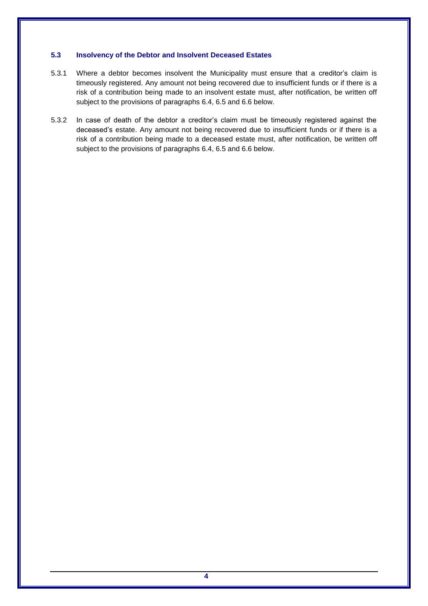#### <span id="page-4-0"></span>**5.3 Insolvency of the Debtor and Insolvent Deceased Estates**

- 5.3.1 Where a debtor becomes insolvent the Municipality must ensure that a creditor's claim is timeously registered. Any amount not being recovered due to insufficient funds or if there is a risk of a contribution being made to an insolvent estate must, after notification, be written off subject to the provisions of paragraphs 6.4, 6.5 and 6.6 below.
- 5.3.2 In case of death of the debtor a creditor's claim must be timeously registered against the deceased's estate. Any amount not being recovered due to insufficient funds or if there is a risk of a contribution being made to a deceased estate must, after notification, be written off subject to the provisions of paragraphs 6.4, 6.5 and 6.6 below.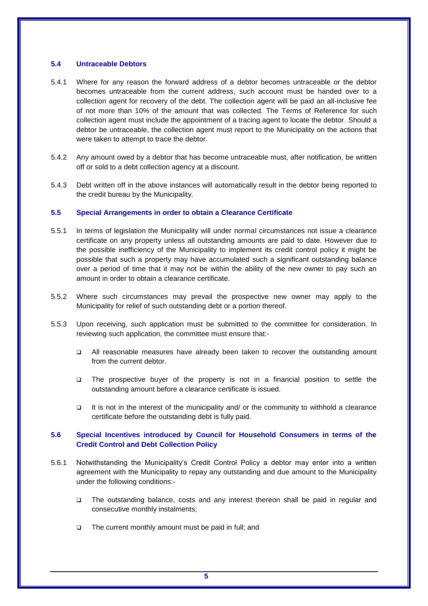#### <span id="page-5-0"></span>**5.4 Untraceable Debtors**

- 5.4.1 Where for any reason the forward address of a debtor becomes untraceable or the debtor becomes untraceable from the current address, such account must be handed over to a collection agent for recovery of the debt. The collection agent will be paid an all-inclusive fee of not more than 10% of the amount that was collected. The Terms of Reference for such collection agent must include the appointment of a tracing agent to locate the debtor. Should a debtor be untraceable, the collection agent must report to the Municipality on the actions that were taken to attempt to trace the debtor.
- 5.4.2 Any amount owed by a debtor that has become untraceable must, after notification, be written off or sold to a debt collection agency at a discount.
- 5.4.3 Debt written off in the above instances will automatically result in the debtor being reported to the credit bureau by the Municipality.

#### <span id="page-5-1"></span>**5.5 Special Arrangements in order to obtain a Clearance Certificate**

- 5.5.1 In terms of legislation the Municipality will under normal circumstances not issue a clearance certificate on any property unless all outstanding amounts are paid to date. However due to the possible inefficiency of the Municipality to implement its credit control policy it might be possible that such a property may have accumulated such a significant outstanding balance over a period of time that it may not be within the ability of the new owner to pay such an amount in order to obtain a clearance certificate.
- 5.5.2 Where such circumstances may prevail the prospective new owner may apply to the Municipality for relief of such outstanding debt or a portion thereof.
- 5.5.3 Upon receiving, such application must be submitted to the committee for consideration. In reviewing such application, the committee must ensure that:-
	- All reasonable measures have already been taken to recover the outstanding amount from the current debtor.
	- The prospective buyer of the property is not in a financial position to settle the outstanding amount before a clearance certificate is issued.
	- It is not in the interest of the municipality and/ or the community to withhold a clearance certificate before the outstanding debt is fully paid.

#### <span id="page-5-2"></span>**5.6 Special Incentives introduced by Council for Household Consumers in terms of the Credit Control and Debt Collection Policy**

- 5.6.1 Notwithstanding the Municipality's Credit Control Policy a debtor may enter into a written agreement with the Municipality to repay any outstanding and due amount to the Municipality under the following conditions:-
	- The outstanding balance, costs and any interest thereon shall be paid in regular and consecutive monthly instalments;
	- $\Box$  The current monthly amount must be paid in full; and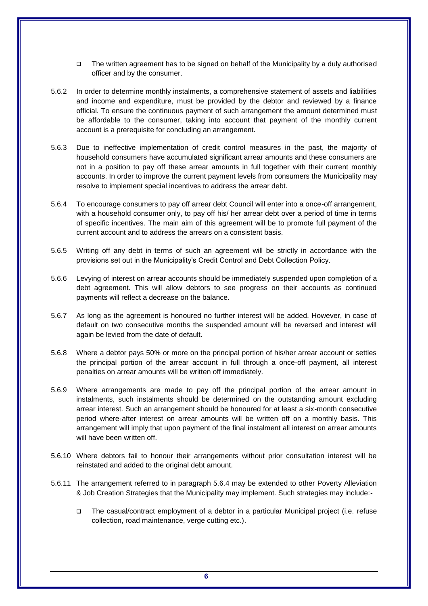- The written agreement has to be signed on behalf of the Municipality by a duly authorised officer and by the consumer.
- 5.6.2 In order to determine monthly instalments, a comprehensive statement of assets and liabilities and income and expenditure, must be provided by the debtor and reviewed by a finance official. To ensure the continuous payment of such arrangement the amount determined must be affordable to the consumer, taking into account that payment of the monthly current account is a prerequisite for concluding an arrangement.
- 5.6.3 Due to ineffective implementation of credit control measures in the past, the majority of household consumers have accumulated significant arrear amounts and these consumers are not in a position to pay off these arrear amounts in full together with their current monthly accounts. In order to improve the current payment levels from consumers the Municipality may resolve to implement special incentives to address the arrear debt.
- 5.6.4 To encourage consumers to pay off arrear debt Council will enter into a once-off arrangement, with a household consumer only, to pay off his/ her arrear debt over a period of time in terms of specific incentives. The main aim of this agreement will be to promote full payment of the current account and to address the arrears on a consistent basis.
- 5.6.5 Writing off any debt in terms of such an agreement will be strictly in accordance with the provisions set out in the Municipality's Credit Control and Debt Collection Policy.
- 5.6.6 Levying of interest on arrear accounts should be immediately suspended upon completion of a debt agreement. This will allow debtors to see progress on their accounts as continued payments will reflect a decrease on the balance.
- 5.6.7 As long as the agreement is honoured no further interest will be added. However, in case of default on two consecutive months the suspended amount will be reversed and interest will again be levied from the date of default.
- 5.6.8 Where a debtor pays 50% or more on the principal portion of his/her arrear account or settles the principal portion of the arrear account in full through a once-off payment, all interest penalties on arrear amounts will be written off immediately.
- 5.6.9 Where arrangements are made to pay off the principal portion of the arrear amount in instalments, such instalments should be determined on the outstanding amount excluding arrear interest. Such an arrangement should be honoured for at least a six-month consecutive period where-after interest on arrear amounts will be written off on a monthly basis. This arrangement will imply that upon payment of the final instalment all interest on arrear amounts will have been written off.
- 5.6.10 Where debtors fail to honour their arrangements without prior consultation interest will be reinstated and added to the original debt amount.
- 5.6.11 The arrangement referred to in paragraph 5.6.4 may be extended to other Poverty Alleviation & Job Creation Strategies that the Municipality may implement. Such strategies may include:-
	- The casual/contract employment of a debtor in a particular Municipal project (i.e. refuse collection, road maintenance, verge cutting etc.).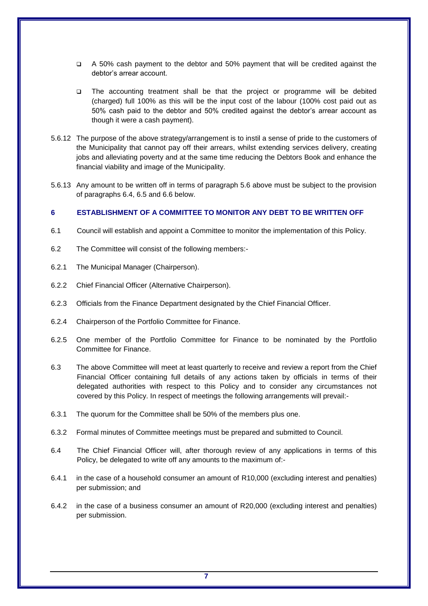- A 50% cash payment to the debtor and 50% payment that will be credited against the debtor's arrear account.
- The accounting treatment shall be that the project or programme will be debited (charged) full 100% as this will be the input cost of the labour (100% cost paid out as 50% cash paid to the debtor and 50% credited against the debtor's arrear account as though it were a cash payment).
- 5.6.12 The purpose of the above strategy/arrangement is to instil a sense of pride to the customers of the Municipality that cannot pay off their arrears, whilst extending services delivery, creating jobs and alleviating poverty and at the same time reducing the Debtors Book and enhance the financial viability and image of the Municipality.
- 5.6.13 Any amount to be written off in terms of paragraph 5.6 above must be subject to the provision of paragraphs 6.4, 6.5 and 6.6 below.

#### <span id="page-7-0"></span>**6 ESTABLISHMENT OF A COMMITTEE TO MONITOR ANY DEBT TO BE WRITTEN OFF**

- 6.1 Council will establish and appoint a Committee to monitor the implementation of this Policy.
- 6.2 The Committee will consist of the following members:-
- 6.2.1 The Municipal Manager (Chairperson).
- 6.2.2 Chief Financial Officer (Alternative Chairperson).
- 6.2.3 Officials from the Finance Department designated by the Chief Financial Officer.
- 6.2.4 Chairperson of the Portfolio Committee for Finance.
- 6.2.5 One member of the Portfolio Committee for Finance to be nominated by the Portfolio Committee for Finance.
- 6.3 The above Committee will meet at least quarterly to receive and review a report from the Chief Financial Officer containing full details of any actions taken by officials in terms of their delegated authorities with respect to this Policy and to consider any circumstances not covered by this Policy. In respect of meetings the following arrangements will prevail:-
- 6.3.1 The quorum for the Committee shall be 50% of the members plus one.
- 6.3.2 Formal minutes of Committee meetings must be prepared and submitted to Council.
- 6.4 The Chief Financial Officer will, after thorough review of any applications in terms of this Policy, be delegated to write off any amounts to the maximum of:-
- 6.4.1 in the case of a household consumer an amount of R10,000 (excluding interest and penalties) per submission; and
- 6.4.2 in the case of a business consumer an amount of R20,000 (excluding interest and penalties) per submission.